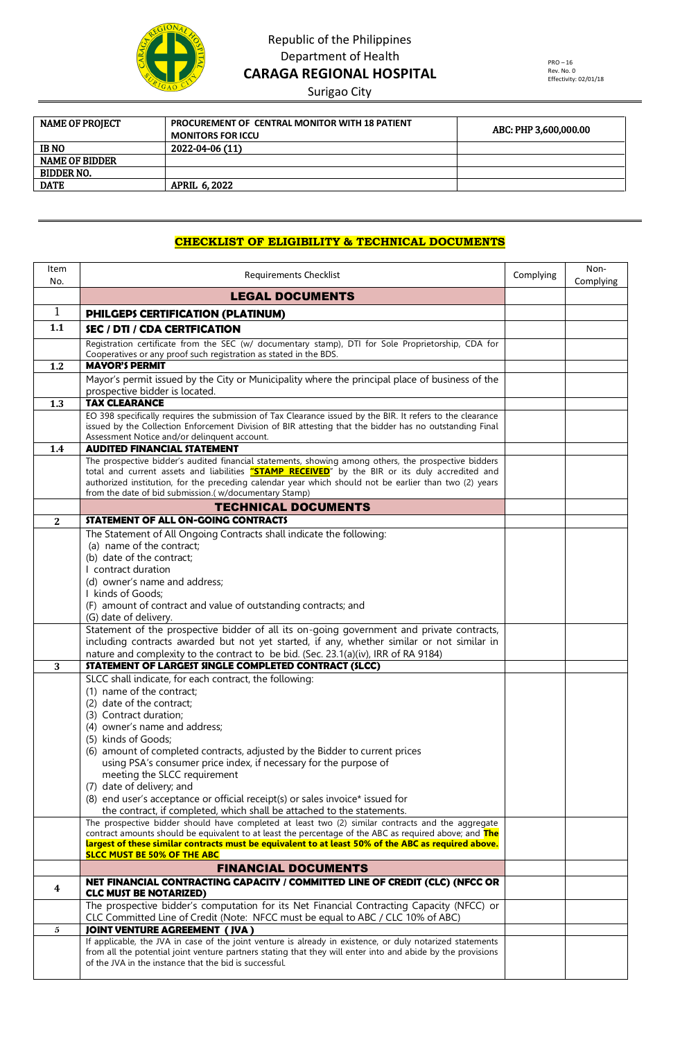

# Republic of the Philippines Department of Health **CARAGA REGIONAL HOSPITAL**

Surigao City

| <b>NAME OF PROJECT</b> | <b>PROCUREMENT OF CENTRAL MONITOR WITH 18 PATIENT</b><br><b>MONITORS FOR ICCU</b> | ABC: PHP 3,600,000.00 |
|------------------------|-----------------------------------------------------------------------------------|-----------------------|
| <b>IB NO</b>           | 2022-04-06 (11)                                                                   |                       |
| <b>NAME OF BIDDER</b>  |                                                                                   |                       |
| <b>BIDDER NO.</b>      |                                                                                   |                       |
| <b>DATE</b>            | <b>APRIL 6.2022</b>                                                               |                       |
|                        |                                                                                   |                       |

## **CHECKLIST OF ELIGIBILITY & TECHNICAL DOCUMENTS**

| Item<br>No. | Requirements Checklist                                                                                                                                                                                                                                                | Complying | Non-<br>Complying |
|-------------|-----------------------------------------------------------------------------------------------------------------------------------------------------------------------------------------------------------------------------------------------------------------------|-----------|-------------------|
|             | <b>LEGAL DOCUMENTS</b>                                                                                                                                                                                                                                                |           |                   |
| 1           | PHILGEPS CERTIFICATION (PLATINUM)                                                                                                                                                                                                                                     |           |                   |
| 1.1         | SEC / DTI / CDA CERTFICATION                                                                                                                                                                                                                                          |           |                   |
|             | Registration certificate from the SEC (w/ documentary stamp), DTI for Sole Proprietorship, CDA for                                                                                                                                                                    |           |                   |
|             | Cooperatives or any proof such registration as stated in the BDS.<br><b>MAYOR'S PERMIT</b>                                                                                                                                                                            |           |                   |
| 1.2         | Mayor's permit issued by the City or Municipality where the principal place of business of the                                                                                                                                                                        |           |                   |
|             | prospective bidder is located.                                                                                                                                                                                                                                        |           |                   |
| 1.3         | <b>TAX CLEARANCE</b>                                                                                                                                                                                                                                                  |           |                   |
|             | EO 398 specifically requires the submission of Tax Clearance issued by the BIR. It refers to the clearance<br>issued by the Collection Enforcement Division of BIR attesting that the bidder has no outstanding Final<br>Assessment Notice and/or delinquent account. |           |                   |
| 1.4         | <b>AUDITED FINANCIAL STATEMENT</b>                                                                                                                                                                                                                                    |           |                   |
|             | The prospective bidder's audited financial statements, showing among others, the prospective bidders<br>total and current assets and liabilities "STAMP RECEIVED" by the BIR or its duly accredited and                                                               |           |                   |
|             | authorized institution, for the preceding calendar year which should not be earlier than two (2) years                                                                                                                                                                |           |                   |
|             | from the date of bid submission.( w/documentary Stamp)                                                                                                                                                                                                                |           |                   |
|             | <b>TECHNICAL DOCUMENTS</b>                                                                                                                                                                                                                                            |           |                   |
| 2           | STATEMENT OF ALL ON-GOING CONTRACTS                                                                                                                                                                                                                                   |           |                   |
|             | The Statement of All Ongoing Contracts shall indicate the following:                                                                                                                                                                                                  |           |                   |
|             | (a) name of the contract;<br>(b) date of the contract;                                                                                                                                                                                                                |           |                   |
|             | I contract duration                                                                                                                                                                                                                                                   |           |                   |
|             | (d) owner's name and address;                                                                                                                                                                                                                                         |           |                   |
|             | I kinds of Goods;                                                                                                                                                                                                                                                     |           |                   |
|             | (F) amount of contract and value of outstanding contracts; and                                                                                                                                                                                                        |           |                   |
|             | (G) date of delivery.<br>Statement of the prospective bidder of all its on-going government and private contracts,                                                                                                                                                    |           |                   |
|             | including contracts awarded but not yet started, if any, whether similar or not similar in                                                                                                                                                                            |           |                   |
|             | nature and complexity to the contract to be bid. (Sec. 23.1(a)(iv), IRR of RA 9184)                                                                                                                                                                                   |           |                   |
| 3           | STATEMENT OF LARGEST SINGLE COMPLETED CONTRACT (SLCC)                                                                                                                                                                                                                 |           |                   |
|             | SLCC shall indicate, for each contract, the following:                                                                                                                                                                                                                |           |                   |
|             | (1) name of the contract;                                                                                                                                                                                                                                             |           |                   |
|             | (2) date of the contract;<br>(3) Contract duration;                                                                                                                                                                                                                   |           |                   |
|             | (4) owner's name and address;                                                                                                                                                                                                                                         |           |                   |
|             | (5) kinds of Goods;                                                                                                                                                                                                                                                   |           |                   |
|             | (6) amount of completed contracts, adjusted by the Bidder to current prices                                                                                                                                                                                           |           |                   |
|             | using PSA's consumer price index, if necessary for the purpose of                                                                                                                                                                                                     |           |                   |
|             | meeting the SLCC requirement<br>(7) date of delivery; and                                                                                                                                                                                                             |           |                   |
|             | (8) end user's acceptance or official receipt(s) or sales invoice* issued for                                                                                                                                                                                         |           |                   |
|             | the contract, if completed, which shall be attached to the statements.                                                                                                                                                                                                |           |                   |
|             | The prospective bidder should have completed at least two (2) similar contracts and the aggregate                                                                                                                                                                     |           |                   |
|             | contract amounts should be equivalent to at least the percentage of the ABC as required above; and The<br>largest of these similar contracts must be equivalent to at least 50% of the ABC as required above.                                                         |           |                   |
|             | <b>SLCC MUST BE 50% OF THE ABC</b>                                                                                                                                                                                                                                    |           |                   |
|             | <b>FINANCIAL DOCUMENTS</b>                                                                                                                                                                                                                                            |           |                   |
| 4           | NET FINANCIAL CONTRACTING CAPACITY / COMMITTED LINE OF CREDIT (CLC) (NFCC OR<br><b>CLC MUST BE NOTARIZED)</b>                                                                                                                                                         |           |                   |
|             | The prospective bidder's computation for its Net Financial Contracting Capacity (NFCC) or<br>CLC Committed Line of Credit (Note: NFCC must be equal to ABC / CLC 10% of ABC)                                                                                          |           |                   |
| 5           | <b>JOINT VENTURE AGREEMENT (JVA)</b>                                                                                                                                                                                                                                  |           |                   |
|             | If applicable, the JVA in case of the joint venture is already in existence, or duly notarized statements                                                                                                                                                             |           |                   |
|             | from all the potential joint venture partners stating that they will enter into and abide by the provisions<br>of the JVA in the instance that the bid is successful.                                                                                                 |           |                   |
|             |                                                                                                                                                                                                                                                                       |           |                   |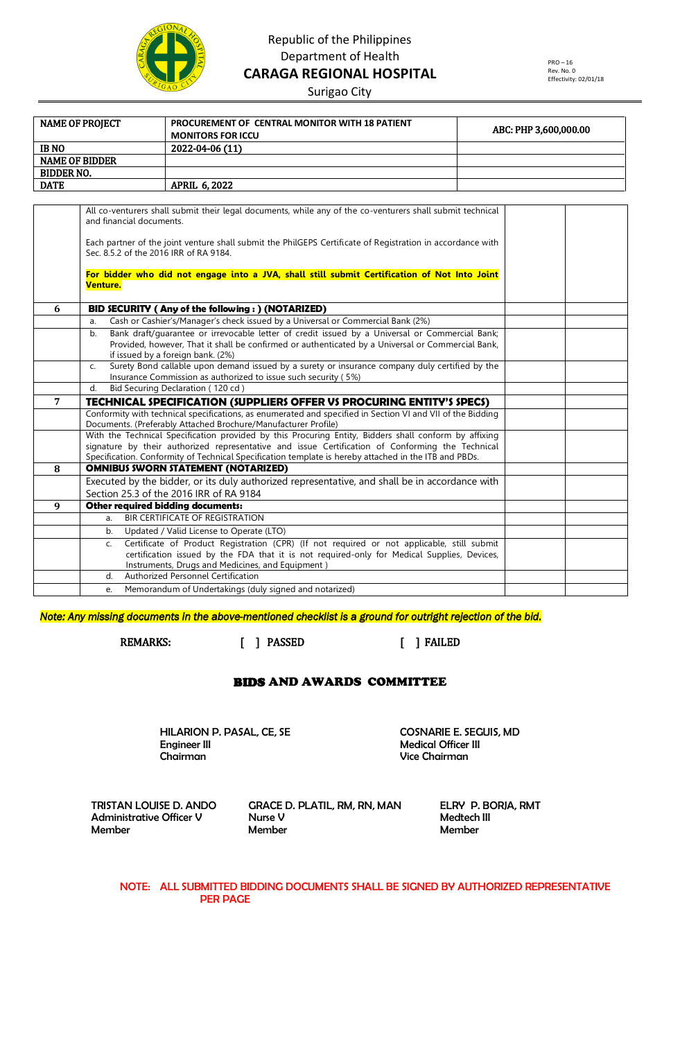

# Republic of the Philippines Department of Health **CARAGA REGIONAL HOSPITAL**

Surigao City

| <b>PROCUREMENT OF CENTRAL MONITOR WITH 18 PATIENT</b><br><b>MONITORS FOR ICCU</b> | ABC: PHP 3.600.000.00 |
|-----------------------------------------------------------------------------------|-----------------------|
| 2022-04-06 (11)                                                                   |                       |
|                                                                                   |                       |
|                                                                                   |                       |
| <b>APRIL 6.2022</b>                                                               |                       |
|                                                                                   |                       |

|                | All co-venturers shall submit their legal documents, while any of the co-venturers shall submit technical<br>and financial documents.<br>Each partner of the joint venture shall submit the PhilGEPS Certificate of Registration in accordance with<br>Sec. 8.5.2 of the 2016 IRR of RA 9184.<br>For bidder who did not engage into a JVA, shall still submit Certification of Not Into Joint<br><b>Venture.</b> |  |
|----------------|------------------------------------------------------------------------------------------------------------------------------------------------------------------------------------------------------------------------------------------------------------------------------------------------------------------------------------------------------------------------------------------------------------------|--|
| 6              | BID SECURITY (Any of the following:) (NOTARIZED)                                                                                                                                                                                                                                                                                                                                                                 |  |
|                | Cash or Cashier's/Manager's check issued by a Universal or Commercial Bank (2%)<br>a.                                                                                                                                                                                                                                                                                                                            |  |
|                | Bank draft/quarantee or irrevocable letter of credit issued by a Universal or Commercial Bank;<br>b.<br>Provided, however, That it shall be confirmed or authenticated by a Universal or Commercial Bank,<br>if issued by a foreign bank. (2%)                                                                                                                                                                   |  |
|                | Surety Bond callable upon demand issued by a surety or insurance company duly certified by the<br>$\mathsf{C}$ .<br>Insurance Commission as authorized to issue such security (5%)                                                                                                                                                                                                                               |  |
|                | Bid Securing Declaration (120 cd)<br>d.                                                                                                                                                                                                                                                                                                                                                                          |  |
| $\overline{7}$ | <b>TECHNICAL SPECIFICATION (SUPPLIERS OFFER VS PROCURING ENTITY'S SPECS)</b>                                                                                                                                                                                                                                                                                                                                     |  |
|                | Conformity with technical specifications, as enumerated and specified in Section VI and VII of the Bidding<br>Documents. (Preferably Attached Brochure/Manufacturer Profile)                                                                                                                                                                                                                                     |  |
|                | With the Technical Specification provided by this Procuring Entity, Bidders shall conform by affixing<br>signature by their authorized representative and issue Certification of Conforming the Technical<br>Specification. Conformity of Technical Specification template is hereby attached in the ITB and PBDs.                                                                                               |  |
| 8              | <b>OMNIBUS SWORN STATEMENT (NOTARIZED)</b>                                                                                                                                                                                                                                                                                                                                                                       |  |
|                | Executed by the bidder, or its duly authorized representative, and shall be in accordance with                                                                                                                                                                                                                                                                                                                   |  |
|                | Section 25.3 of the 2016 IRR of RA 9184                                                                                                                                                                                                                                                                                                                                                                          |  |
| 9              | <b>Other required bidding documents:</b>                                                                                                                                                                                                                                                                                                                                                                         |  |
|                | BIR CERTIFICATE OF REGISTRATION<br>a.                                                                                                                                                                                                                                                                                                                                                                            |  |
|                | Updated / Valid License to Operate (LTO)<br>b <sub>1</sub>                                                                                                                                                                                                                                                                                                                                                       |  |
|                | Certificate of Product Registration (CPR) (If not required or not applicable, still submit<br>C.<br>certification issued by the FDA that it is not required-only for Medical Supplies, Devices,<br>Instruments, Drugs and Medicines, and Equipment)                                                                                                                                                              |  |
|                | Authorized Personnel Certification<br>$d$ .                                                                                                                                                                                                                                                                                                                                                                      |  |
|                | Memorandum of Undertakings (duly signed and notarized)<br>e.                                                                                                                                                                                                                                                                                                                                                     |  |

*Note: Any missing documents in the above-mentioned checklist is a ground for outright rejection of the bid.* 

REMARKS: [ ] PASSED [ ] FAILED

#### BIDS AND AWARDS COMMITTEE

HILARION P. PASAL, CE, SE COSNARIE E. SEGUIS, MD Engineer III Medical Officer III

Vice Chairman

Member Member Member

 TRISTAN LOUISE D. ANDO GRACE D. PLATIL, RM, RN, MAN ELRY P. BORJA, RMT Administrative Officer V Nurse V Medtech III

NOTE: ALL SUBMITTED BIDDING DOCUMENTS SHALL BE SIGNED BY AUTHORIZED REPRESENTATIVE PER PAGE